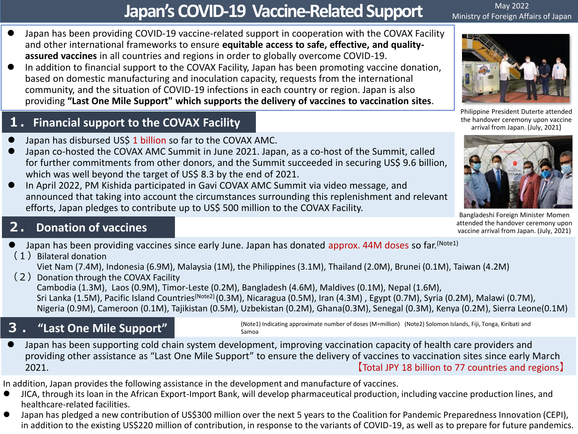# **Japan's COVID-19 Vaccine-Related Support**

May 2022 Ministry of Foreign Affairs of Japan

- Japan has been providing COVID-19 vaccine-related support in cooperation with the COVAX Facility and other international frameworks to ensure **equitable access to safe, effective, and qualityassured vaccines** in all countries and regions in order to globally overcome COVID-19.
- In addition to financial support to the COVAX Facility, Japan has been promoting vaccine donation, based on domestic manufacturing and inoculation capacity, requests from the international community, and the situation of COVID-19 infections in each country or region. Japan is also providing **"Last One Mile Support" which supports the delivery of vaccines to vaccination sites**.

#### **1.Financial support to the COVAX Facility**

- Japan has disbursed US\$ 1 billion so far to the COVAX AMC.
- Japan co-hosted the COVAX AMC Summit in June 2021. Japan, as a co-host of the Summit, called for further commitments from other donors, and the Summit succeeded in securing US\$ 9.6 billion, which was well beyond the target of US\$ 8.3 by the end of 2021.
- In April 2022, PM Kishida participated in Gavi COVAX AMC Summit via video message, and announced that taking into account the circumstances surrounding this replenishment and relevant efforts, Japan pledges to contribute up to US\$ 500 million to the COVAX Facility.

#### **2. Donation of vaccines**

- Japan has been providing vaccines since early June. Japan has donated approx. 44M doses so far. (Note1)
- $(1)$  Bilateral donation Viet Nam (7.4M), Indonesia (6.9M), Malaysia (1M), the Philippines (3.1M), Thailand (2.0M), Brunei (0.1M), Taiwan (4.2M)
- (2) Donation through the COVAX Facility Cambodia (1.3M), Laos (0.9M), Timor-Leste (0.2M), Bangladesh (4.6M), Maldives (0.1M), Nepal (1.6M), Sri Lanka (1.5M), Pacific Island Countries<sup>(Note2)</sup> (0.3M), Nicaragua (0.5M), Iran (4.3M), Egypt (0.7M), Syria (0.2M), Malawi (0.7M), Nigeria (0.9M), Cameroon (0.1M), Tajikistan (0.5M), Uzbekistan (0.2M), Ghana(0.3M), Senegal (0.3M), Kenya (0.2M), Sierra Leone(0.1M)

## **3 . "Last One Mile Support"**

(Note1) Indicating approximate number of doses (M=million) (Note2) Solomon Islands, Fiji, Tonga, Kiribati and Samoa

 Japan has been supporting cold chain system development, improving vaccination capacity of health care providers and providing other assistance as "Last One Mile Support" to ensure the delivery of vaccines to vaccination sites since early March 2021. 【Total JPY 18 billion to 77 countries and regions】

In addition, Japan provides the following assistance in the development and manufacture of vaccines.

- JICA, through its loan in the African Export-Import Bank, will develop pharmaceutical production, including vaccine production lines, and healthcare-related facilities.
- Japan has pledged a new contribution of US\$300 million over the next 5 years to the Coalition for Pandemic Preparedness Innovation (CEPI), in addition to the existing US\$220 million of contribution, in response to the variants of COVID-19, as well as to prepare for future pandemics.



Philippine President Duterte attended the handover ceremony upon vaccine arrival from Japan. (July, 2021)



Bangladeshi Foreign Minister Momen attended the handover ceremony upon vaccine arrival from Japan. (July, 2021)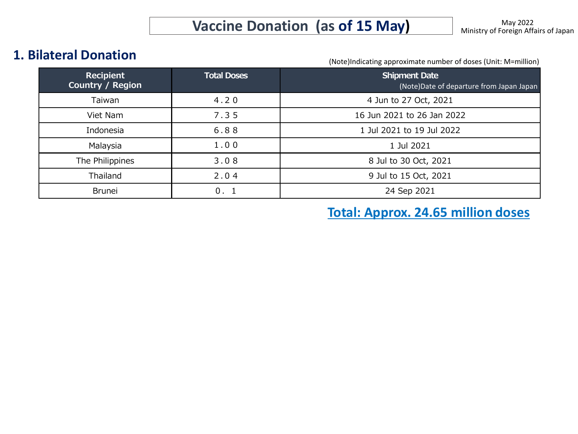#### **1. Bilateral Donation**

(Note)Indicating approximate number of doses (Unit: M=million)

| <b>Recipient</b><br>Country / Region | <b>Total Doses</b> | <b>Shipment Date</b><br>(Note)Date of departure from Japan Japan |
|--------------------------------------|--------------------|------------------------------------------------------------------|
| Taiwan                               | 4.20               | 4 Jun to 27 Oct, 2021                                            |
| Viet Nam                             | 7.35               | 16 Jun 2021 to 26 Jan 2022                                       |
| Indonesia                            | 6.88               | 1 Jul 2021 to 19 Jul 2022                                        |
| Malaysia                             | 1.00               | 1 Jul 2021                                                       |
| The Philippines                      | 3.08               | 8 Jul to 30 Oct, 2021                                            |
| Thailand                             | 2.04               | 9 Jul to 15 Oct, 2021                                            |
| <b>Brunei</b>                        | 0.1                | 24 Sep 2021                                                      |

**Total: Approx. 24.65 million doses**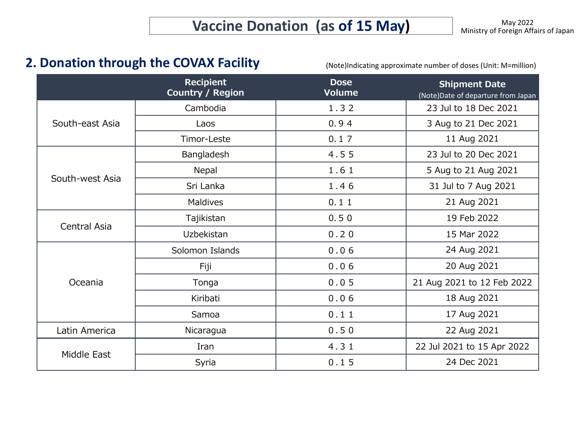## **2. Donation through the COVAX Facility**

(Note)Indicating approximate number of doses (Unit: M=million)

|                 | <b>Recipient</b><br>Country / Region | <b>Dose</b><br><b>Volume</b> | <b>Shipment Date</b><br>(Note) Date of departure from Japan |  |
|-----------------|--------------------------------------|------------------------------|-------------------------------------------------------------|--|
| South-east Asia | Cambodia                             | 1.32                         | 23 Jul to 18 Dec 2021                                       |  |
|                 | Laos                                 | 0.94                         | 3 Aug to 21 Dec 2021                                        |  |
|                 | Timor-Leste                          | 0.17                         | 11 Aug 2021                                                 |  |
| South-west Asia | Bangladesh                           | 4.55                         | 23 Jul to 20 Dec 2021                                       |  |
|                 | Nepal                                | 1.61                         | 5 Aug to 21 Aug 2021                                        |  |
|                 | Sri Lanka                            | 1.46                         | 31 Jul to 7 Aug 2021                                        |  |
|                 | Maldives                             | 0.11                         | 21 Aug 2021                                                 |  |
| Central Asia    | Tajikistan                           | 0.50                         | 19 Feb 2022                                                 |  |
|                 | Uzbekistan                           | 0.20                         | 15 Mar 2022                                                 |  |
| Oceania         | Solomon Islands                      | 0.06                         | 24 Aug 2021                                                 |  |
|                 | Fiji                                 | 0.06                         | 20 Aug 2021                                                 |  |
|                 | Tonga                                | 0.05                         | 21 Aug 2021 to 12 Feb 2022                                  |  |
|                 | Kiribati                             | 0.06                         | 18 Aug 2021                                                 |  |
|                 | Samoa                                | 0.11                         | 17 Aug 2021                                                 |  |
| Latin America   | Nicaragua                            | 0.50                         | 22 Aug 2021                                                 |  |
|                 | Iran                                 | 4.31                         | 22 Jul 2021 to 15 Apr 2022                                  |  |
| Middle East     | Syria                                | 0.15                         | 24 Dec 2021                                                 |  |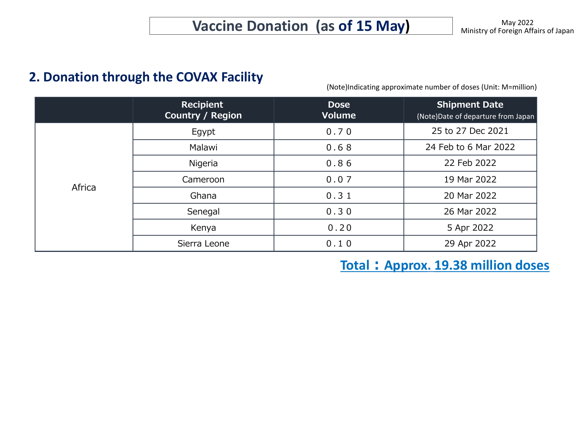### **2. Donation through the COVAX Facility**

(Note)Indicating approximate number of doses (Unit: M=million)

|        | <b>Recipient</b><br><b>Country / Region</b> | <b>Dose</b><br><b>Volume</b> | <b>Shipment Date</b><br>(Note)Date of departure from Japan |  |
|--------|---------------------------------------------|------------------------------|------------------------------------------------------------|--|
| Africa | Egypt                                       | 0.70                         | 25 to 27 Dec 2021                                          |  |
|        | Malawi                                      | 0.68                         | 24 Feb to 6 Mar 2022                                       |  |
|        | Nigeria                                     | 0.86                         | 22 Feb 2022                                                |  |
|        | Cameroon                                    | 0.07                         | 19 Mar 2022                                                |  |
|        | Ghana                                       | 0.31                         | 20 Mar 2022                                                |  |
|        | Senegal                                     | 0.30                         | 26 Mar 2022                                                |  |
|        | Kenya                                       | 0.20                         | 5 Apr 2022                                                 |  |
|        | Sierra Leone                                | 0.10                         | 29 Apr 2022                                                |  |

**Total:Approx. 19.38 million doses**